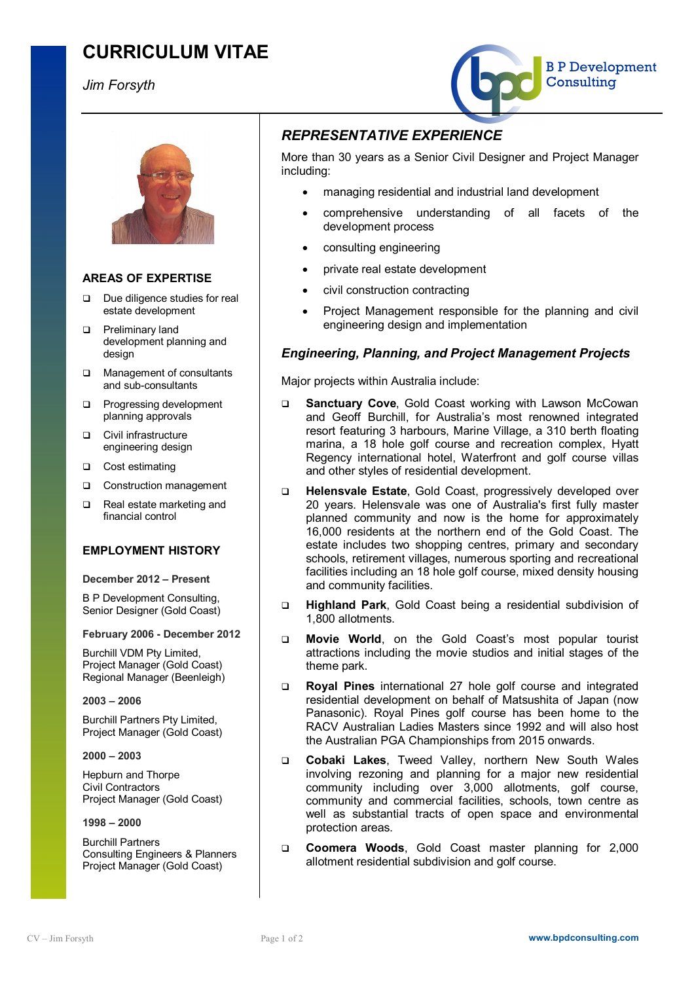# **CURRICULUM VITAE**

*Jim Forsyth*





### **AREAS OF EXPERTISE**

- □ Due diligence studies for real estate development
- **q** Preliminary land development planning and design
- □ Management of consultants and sub-consultants
- **Q** Progressing development planning approvals
- **Q** Civil infrastructure engineering design
- □ Cost estimating
- □ Construction management
- q Real estate marketing and financial control

#### **EMPLOYMENT HISTORY**

#### **December 2012 – Present**

B P Development Consulting, Senior Designer (Gold Coast)

#### **February 2006 - December 2012**

Burchill VDM Pty Limited, Project Manager (Gold Coast) Regional Manager (Beenleigh)

#### **2003 – 2006**

Burchill Partners Pty Limited, Project Manager (Gold Coast)

**2000 – 2003** 

Hepburn and Thorpe Civil Contractors Project Manager (Gold Coast)

#### **1998 – 2000**

Burchill Partners Consulting Engineers & Planners Project Manager (Gold Coast)

## *REPRESENTATIVE EXPERIENCE*

More than 30 years as a Senior Civil Designer and Project Manager including:

- managing residential and industrial land development
- comprehensive understanding of all facets of the development process
- consulting engineering
- private real estate development
- civil construction contracting
- · Project Management responsible for the planning and civil engineering design and implementation

### *Engineering, Planning, and Project Management Projects*

Major projects within Australia include:

- q **Sanctuary Cove**, Gold Coast working with Lawson McCowan and Geoff Burchill, for Australia's most renowned integrated resort featuring 3 harbours, Marine Village, a 310 berth floating marina, a 18 hole golf course and recreation complex, Hyatt Regency international hotel, Waterfront and golf course villas and other styles of residential development.
- q **Helensvale Estate**, Gold Coast, progressively developed over 20 years. Helensvale was one of Australia's first fully master planned community and now is the home for approximately 16,000 residents at the northern end of the Gold Coast. The estate includes two shopping centres, primary and secondary schools, retirement villages, numerous sporting and recreational facilities including an 18 hole golf course, mixed density housing and community facilities.
- q **Highland Park**, Gold Coast being a residential subdivision of 1,800 allotments.
- q **Movie World**, on the Gold Coast's most popular tourist attractions including the movie studios and initial stages of the theme park.
- q **Royal Pines** international 27 hole golf course and integrated residential development on behalf of Matsushita of Japan (now Panasonic). Royal Pines golf course has been home to the RACV Australian Ladies Masters since 1992 and will also host the Australian PGA Championships from 2015 onwards.
- q **Cobaki Lakes**, Tweed Valley, northern New South Wales involving rezoning and planning for a major new residential community including over 3,000 allotments, golf course, community and commercial facilities, schools, town centre as well as substantial tracts of open space and environmental protection areas.
- q **Coomera Woods**, Gold Coast master planning for 2,000 allotment residential subdivision and golf course.